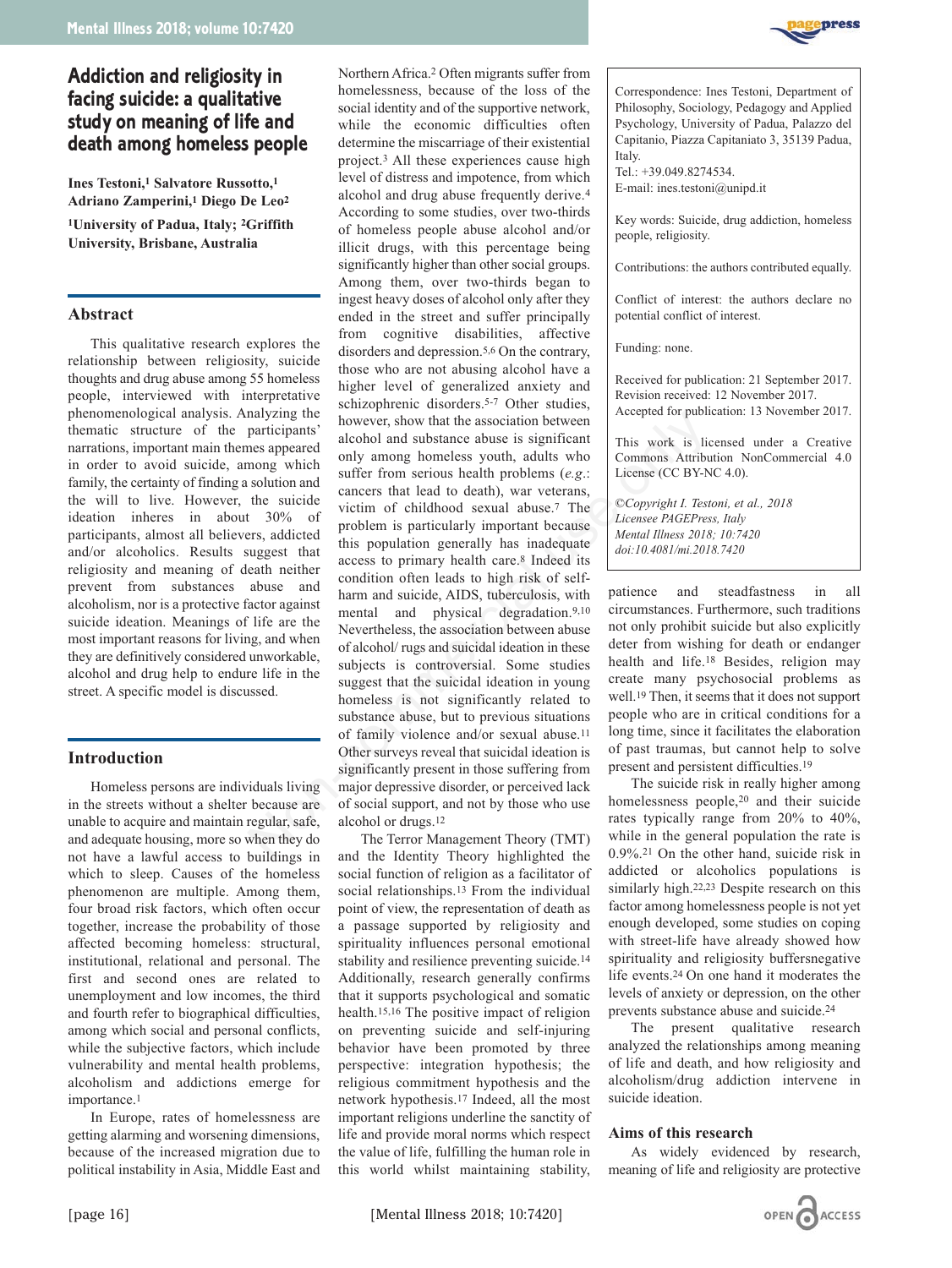# **Addiction and religiosity in facing suicide: a qualitative study on meaning of life and death among homeless people**

**Ines Testoni,1 Salvatore Russotto,1 Adriano Zamperini,1 Diego De Leo2 1University of Padua, Italy; 2Griffith University, Brisbane, Australia**

### **Abstract**

This qualitative research explores the relationship between religiosity, suicide thoughts and drug abuse among 55 homeless people, interviewed with interpretative phenomenological analysis. Analyzing the thematic structure of the participants' narrations, important main themes appeared in order to avoid suicide, among which family, the certainty of finding a solution and the will to live. However, the suicide ideation inheres in about 30% of participants, almost all believers, addicted and/or alcoholics. Results suggest that religiosity and meaning of death neither prevent from substances abuse and alcoholism, nor is a protective factor against suicide ideation. Meanings of life are the most important reasons for living, and when they are definitively considered unworkable, alcohol and drug help to endure life in the street. A specific model is discussed.

## **Introduction**

Homeless persons are individuals living in the streets without a shelter because are unable to acquire and maintain regular, safe, and adequate housing, more so when they do not have a lawful access to buildings in which to sleep. Causes of the homeless phenomenon are multiple. Among them, four broad risk factors, which often occur together, increase the probability of those affected becoming homeless: structural, institutional, relational and personal. The first and second ones are related to unemployment and low incomes, the third and fourth refer to biographical difficulties, among which social and personal conflicts, while the subjective factors, which include vulnerability and mental health problems, alcoholism and addictions emerge for importance.1

In Europe, rates of homelessness are getting alarming and worsening dimensions, because of the increased migration due to political instability in Asia, Middle East and

Northern Africa.2 Often migrants suffer from homelessness, because of the loss of the social identity and of the supportive network, while the economic difficulties often determine the miscarriage of their existential project.3 All these experiences cause high level of distress and impotence, from which alcohol and drug abuse frequently derive.4 According to some studies, over two-thirds of homeless people abuse alcohol and/or illicit drugs, with this percentage being significantly higher than other social groups. Among them, over two-thirds began to ingest heavy doses of alcohol only after they ended in the street and suffer principally from cognitive disabilities, affective disorders and depression.5,6 On the contrary, those who are not abusing alcohol have a higher level of generalized anxiety and schizophrenic disorders.5-7 Other studies, however, show that the association between alcohol and substance abuse is significant only among homeless youth, adults who suffer from serious health problems (*e.g*.: cancers that lead to death), war veterans, victim of childhood sexual abuse.7 The problem is particularly important because this population generally has inadequate access to primary health care.8 Indeed its condition often leads to high risk of selfharm and suicide, AIDS, tuberculosis, with mental and physical degradation.9,10 Nevertheless, the association between abuse of alcohol/ rugs and suicidal ideation in these subjects is controversial. Some studies suggest that the suicidal ideation in young homeless is not significantly related to substance abuse, but to previous situations of family violence and/or sexual abuse.11 Other surveys reveal that suicidal ideation is significantly present in those suffering from major depressive disorder, or perceived lack of social support, and not by those who use alcohol or drugs.12 mayzing the<br>
naricipants'<br>
participants'<br>
abdool and substance abuse is significant<br>
only among homeless youth, adults who<br>
solution and suffer from serious health problems (e.g.:<br>
solution of childhood sexual abuse.)<br>
th

The Terror Management Theory (TMT) and the Identity Theory highlighted the social function of religion as a facilitator of social relationships.13 From the individual point of view, the representation of death as a passage supported by religiosity and spirituality influences personal emotional stability and resilience preventing suicide.14 Additionally, research generally confirms that it supports psychological and somatic health.15,16 The positive impact of religion on preventing suicide and self-injuring behavior have been promoted by three perspective: integration hypothesis; the religious commitment hypothesis and the network hypothesis.17 Indeed, all the most important religions underline the sanctity of life and provide moral norms which respect the value of life, fulfilling the human role in this world whilst maintaining stability,



Correspondence: Ines Testoni, Department of Philosophy, Sociology, Pedagogy and Applied Psychology, University of Padua, Palazzo del Capitanio, Piazza Capitaniato 3, 35139 Padua, Italy.

Tel.: +39.049.8274534. E-mail: ines.testoni@unipd.it

Key words: Suicide, drug addiction, homeless people, religiosity.

Contributions: the authors contributed equally.

Conflict of interest: the authors declare no potential conflict of interest.

Funding: none.

Received for publication: 21 September 2017. Revision received: 12 November 2017. Accepted for publication: 13 November 2017.

This work is licensed under a Creative Commons Attribution NonCommercial 4.0 License (CC BY-NC 4.0).

*©Copyright I. Testoni, et al., 2018 Licensee PAGEPress, Italy Mental Illness 2018; 10:7420 doi:10.4081/mi.2018.7420*

patience and steadfastness in all circumstances. Furthermore, such traditions not only prohibit suicide but also explicitly deter from wishing for death or endanger health and life.18 Besides, religion may create many psychosocial problems as well.19 Then, it seems that it does not support people who are in critical conditions for a long time, since it facilitates the elaboration of past traumas, but cannot help to solve present and persistent difficulties.19

The suicide risk in really higher among homelessness people,20 and their suicide rates typically range from 20% to 40%, while in the general population the rate is 0.9%.21 On the other hand, suicide risk in addicted or alcoholics populations is similarly high.22,23 Despite research on this factor among homelessness people is not yet enough developed, some studies on coping with street-life have already showed how spirituality and religiosity buffersnegative life events.24 On one hand it moderates the levels of anxiety or depression, on the other prevents substance abuse and suicide.24

The present qualitative research analyzed the relationships among meaning of life and death, and how religiosity and alcoholism/drug addiction intervene in suicide ideation.

### **Aims of this research**

As widely evidenced by research, meaning of life and religiosity are protective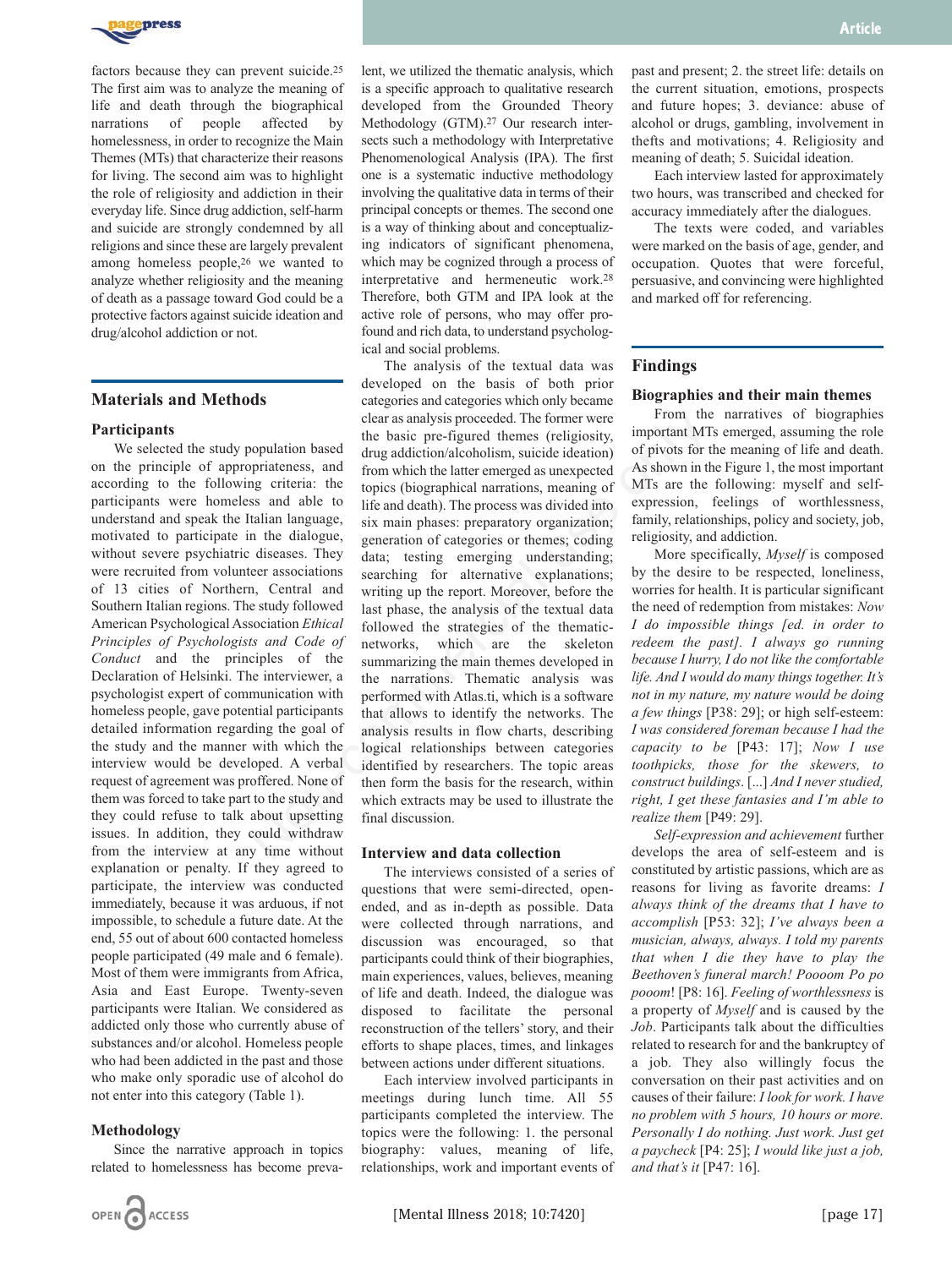

factors because they can prevent suicide.25 The first aim was to analyze the meaning of life and death through the biographical narrations of people affected by homelessness, in order to recognize the Main Themes (MTs) that characterize their reasons for living. The second aim was to highlight the role of religiosity and addiction in their everyday life. Since drug addiction, self-harm and suicide are strongly condemned by all religions and since these are largely prevalent among homeless people,26 we wanted to analyze whether religiosity and the meaning of death as a passage toward God could be a protective factors against suicide ideation and drug/alcohol addiction or not.

### **Materials and Methods**

#### **Participants**

We selected the study population based on the principle of appropriateness, and according to the following criteria: the participants were homeless and able to understand and speak the Italian language, motivated to participate in the dialogue, without severe psychiatric diseases. They were recruited from volunteer associations of 13 cities of Northern, Central and Southern Italian regions. The study followed American Psychological Association *Ethical Principles of Psychologists and Code of Conduct* and the principles of the Declaration of Helsinki. The interviewer, a psychologist expert of communication with homeless people, gave potential participants detailed information regarding the goal of the study and the manner with which the interview would be developed. A verbal request of agreement was proffered. None of them was forced to take part to the study and they could refuse to talk about upsetting issues. In addition, they could withdraw from the interview at any time without explanation or penalty. If they agreed to participate, the interview was conducted immediately, because it was arduous, if not impossible, to schedule a future date. At the end, 55 out of about 600 contacted homeless people participated (49 male and 6 female). Most of them were immigrants from Africa, Asia and East Europe. Twenty-seven participants were Italian. We considered as addicted only those who currently abuse of substances and/or alcohol. Homeless people who had been addicted in the past and those who make only sporadic use of alcohol do not enter into this category (Table 1).

#### **Methodology**

Since the narrative approach in topics related to homelessness has become prevalent, we utilized the thematic analysis, which is a specific approach to qualitative research developed from the Grounded Theory Methodology (GTM).27 Our research intersects such a methodology with Interpretative Phenomenological Analysis (IPA). The first one is a systematic inductive methodology involving the qualitative data in terms of their principal concepts or themes. The second one is a way of thinking about and conceptualizing indicators of significant phenomena, which may be cognized through a process of interpretative and hermeneutic work.28 Therefore, both GTM and IPA look at the active role of persons, who may offer profound and rich data, to understand psychological and social problems.

The analysis of the textual data was developed on the basis of both prior categories and categories which only became clear as analysis proceeded. The former were the basic pre-figured themes (religiosity, drug addiction/alcoholism, suicide ideation) from which the latter emerged as unexpected topics (biographical narrations, meaning of life and death). The process was divided into six main phases: preparatory organization; generation of categories or themes; coding data; testing emerging understanding; searching for alternative explanations; writing up the report. Moreover, before the last phase, the analysis of the textual data followed the strategies of the thematicnetworks, which are the skeleton summarizing the main themes developed in the narrations. Thematic analysis was performed with Atlas.ti, which is a software that allows to identify the networks. The analysis results in flow charts, describing logical relationships between categories identified by researchers. The topic areas then form the basis for the research, within which extracts may be used to illustrate the final discussion. clear as analysis proceeded. The former were<br>
the basic pre-figured thense (religiosity, important MT<br>
oppulations, and drug addiction/alcoholism, suicide ideation) of pivots for the<br>
prigraents, and from which the latter

#### **Interview and data collection**

The interviews consisted of a series of questions that were semi-directed, openended, and as in-depth as possible. Data were collected through narrations, and discussion was encouraged, so that participants could think of their biographies, main experiences, values, believes, meaning of life and death. Indeed, the dialogue was disposed to facilitate the personal reconstruction of the tellers' story, and their efforts to shape places, times, and linkages between actions under different situations.

Each interview involved participants in meetings during lunch time. All 55 participants completed the interview. The topics were the following: 1. the personal biography: values, meaning of life, relationships, work and important events of past and present; 2. the street life: details on the current situation, emotions, prospects and future hopes; 3. deviance: abuse of alcohol or drugs, gambling, involvement in thefts and motivations; 4. Religiosity and meaning of death; 5. Suicidal ideation.

Each interview lasted for approximately two hours, was transcribed and checked for accuracy immediately after the dialogues.

The texts were coded, and variables were marked on the basis of age, gender, and occupation. Quotes that were forceful, persuasive, and convincing were highlighted and marked off for referencing.

### **Findings**

#### **Biographies and their main themes**

From the narratives of biographies important MTs emerged, assuming the role of pivots for the meaning of life and death. As shown in the Figure 1, the most important MTs are the following: myself and selfexpression, feelings of worthlessness, family, relationships, policy and society, job, religiosity, and addiction.

More specifically, *Myself* is composed by the desire to be respected, loneliness, worries for health. It is particular significant the need of redemption from mistakes: *Now I do impossible things [ed. in order to redeem the past]. I always go running because I hurry, I do not like the comfortable life. And I would do many things together. It's not in my nature, my nature would be doing a few things* [P38: 29]; or high self-esteem: *I was considered foreman because I had the capacity to be* [P43: 17]; *Now I use toothpicks, those for the skewers, to construct buildings*. [...] *And I never studied, right, I get these fantasies and I'm able to realize them* [P49: 29].

*Self-expression and achievement* further develops the area of self-esteem and is constituted by artistic passions, which are as reasons for living as favorite dreams: *I always think of the dreams that I have to accomplish* [P53: 32]; *I've always been a musician, always, always. I told my parents that when I die they have to play the Beethoven's funeral march! Poooom Po po pooom*! [P8: 16]. *Feeling of worthlessness* is a property of *Myself* and is caused by the *Job*. Participants talk about the difficulties related to research for and the bankruptcy of a job. They also willingly focus the conversation on their past activities and on causes of their failure: *I look for work. I have no problem with 5 hours, 10 hours or more. Personally I do nothing. Just work. Just get a paycheck* [P4: 25]; *I would like just a job, and that's it* [P47: 16].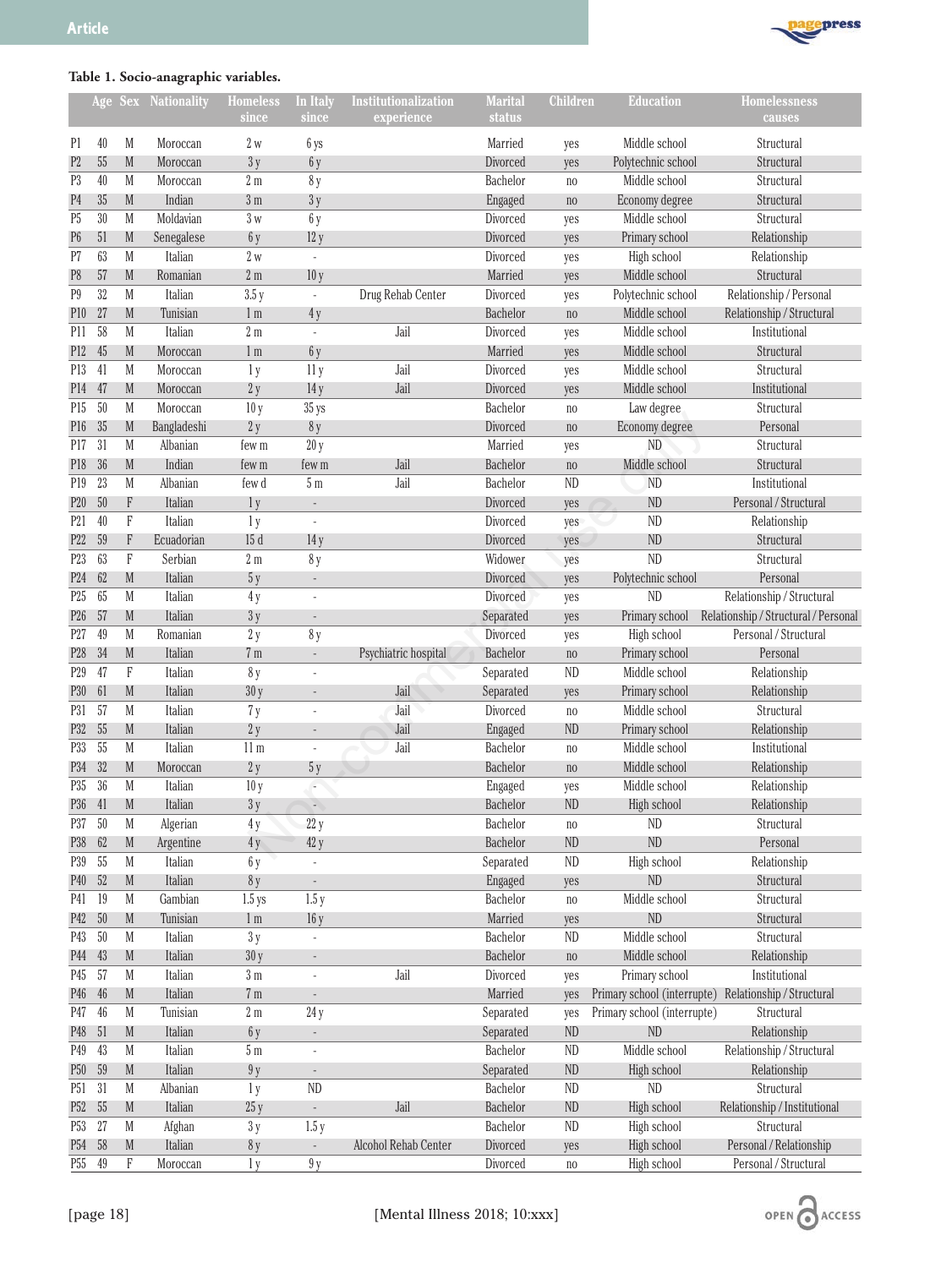

# **Table 1. Socio-anagraphic variables.**

|                  |        |                                                                                                            | Age Sex Nationality | <b>Homeless</b><br>since | In Italy<br>since        | <b>Institutionalization</b><br>experience | <b>Marital</b><br>status | <b>Children</b> | <b>Education</b>            | Homelessness<br>causes               |
|------------------|--------|------------------------------------------------------------------------------------------------------------|---------------------|--------------------------|--------------------------|-------------------------------------------|--------------------------|-----------------|-----------------------------|--------------------------------------|
| P1               | 40     | M                                                                                                          | Moroccan            | 2 w                      | 6 ys                     |                                           | Married                  | yes             | Middle school               | Structural                           |
| P <sub>2</sub>   | $55\,$ | M                                                                                                          | Moroccan            | 3y                       | 6y                       |                                           | Divorced                 | yes             | Polytechnic school          | Structural                           |
| P <sub>3</sub>   | $40\,$ | M                                                                                                          | Moroccan            | 2m                       | 8 y                      |                                           | Bachelor                 | n <sub>0</sub>  | Middle school               | Structural                           |
| P <sub>4</sub>   | 35     | M                                                                                                          | Indian              | 3m                       | 3y                       |                                           | Engaged                  | n <sub>0</sub>  | Economy degree              | Structural                           |
| P <sub>5</sub>   | $30\,$ | $\mathsf{M}% _{T}=\mathsf{M}_{T}\!\left( a,b\right) ,\ \mathsf{M}_{T}=\mathsf{M}_{T}\!\left( a,b\right) ,$ | Moldavian           | 3w                       | 6 y                      |                                           | Divorced                 | yes             | Middle school               | Structural                           |
| P <sub>6</sub>   | 51     | M                                                                                                          | Senegalese          | 6y                       | 12y                      |                                           | Divorced                 | yes             | Primary school              | Relationship                         |
| P7               | 63     | $\mathsf{M}% _{T}=\mathsf{M}_{T}\!\left( a,b\right) ,\ \mathsf{M}_{T}=\mathsf{M}_{T}\!\left( a,b\right) ,$ | Italian             | 2 w                      | ä,                       |                                           | Divorced                 | yes             | High school                 | Relationship                         |
| P <sub>8</sub>   | $57\,$ | M                                                                                                          | Romanian            | 2m                       | 10 <sub>y</sub>          |                                           | Married                  | yes             | Middle school               | Structural                           |
| P9               | $32\,$ | M                                                                                                          | Italian             | 3.5y                     | $\bar{\phantom{a}}$      | Drug Rehab Center                         | Divorced                 | yes             | Polytechnic school          | Relationship / Personal              |
| P10              | $27\,$ | $\mathop{\rm M}\nolimits$                                                                                  | Tunisian            | 1 <sub>m</sub>           | 4y                       |                                           | Bachelor                 | n <sub>0</sub>  | Middle school               | Relationship / Structural            |
| P11              | 58     | M                                                                                                          | Italian             | 2m                       | l,                       | Jail                                      | Divorced                 | yes             | Middle school               | Institutional                        |
| P12              | 45     | M                                                                                                          | Moroccan            | 1 <sub>m</sub>           | 6y                       |                                           | Married                  | yes             | Middle school               | Structural                           |
| P13              | 41     | M                                                                                                          | Moroccan            | 1y                       | 11y                      | Jail                                      | Divorced                 | yes             | Middle school               | Structural                           |
| P14              | 47     | M                                                                                                          | Moroccan            | 2y                       | 14y                      | Jail                                      | Divorced                 | yes             | Middle school               | Institutional                        |
| P <sub>15</sub>  | $50\,$ | M                                                                                                          | Moroccan            | 10 <sub>y</sub>          | 35 ys                    |                                           | Bachelor                 | no              | Law degree                  | Structural                           |
| P16              | $35\,$ | M                                                                                                          | Bangladeshi         | 2y                       | 8 y                      |                                           | Divorced                 | n <sub>0</sub>  | Economy degree              | Personal                             |
| P17              | 31     | M                                                                                                          | Albanian            | few m                    | 20y                      |                                           | Married                  | yes             | ND                          | Structural                           |
| P18              | 36     | M                                                                                                          | Indian              | few m                    | few m                    | Jail                                      | Bachelor                 | n <sub>0</sub>  | Middle school               | Structural                           |
| P19              | 23     | $\mathsf{M}% _{T}=\mathsf{M}_{T}\!\left( a,b\right) ,\ \mathsf{M}_{T}=\mathsf{M}_{T}\!\left( a,b\right) ,$ | Albanian            | few d                    | 5 <sub>m</sub>           | Jail                                      | Bachelor                 | <b>ND</b>       | N <sub>D</sub>              | Institutional                        |
| P <sub>20</sub>  | 50     | F                                                                                                          | Italian             | 1y                       | $\overline{\phantom{a}}$ |                                           | Divorced                 | yes             | <b>ND</b>                   | Personal / Structural                |
| P21              | 40     | F                                                                                                          | Italian             | 1y                       |                          |                                           | Divorced                 | yes             | ND                          | Relationship                         |
| P22              | 59     | F                                                                                                          | Ecuadorian          | 15d                      | 14y                      |                                           | Divorced                 | yes             | <b>ND</b>                   | Structural                           |
| P <sub>2</sub> 3 | 63     | F                                                                                                          | Serbian             | 2m                       | 8 y                      |                                           | Widower                  | yes             | <b>ND</b>                   | Structural                           |
| P <sub>24</sub>  | 62     | M                                                                                                          | Italian             | 5y                       |                          |                                           | Divorced                 | yes             | Polytechnic school          | Personal                             |
| P <sub>25</sub>  | 65     | $\mathsf{M}% _{T}=\mathsf{M}_{T}\!\left( a,b\right) ,\ \mathsf{M}_{T}=\mathsf{M}_{T}\!\left( a,b\right) ,$ | Italian             | 4 y                      |                          |                                           | Divorced                 | yes             | <b>ND</b>                   | Relationship / Structural            |
| P <sub>26</sub>  | 57     | M                                                                                                          | Italian             | 3y                       |                          |                                           | Separated                | yes             | Primary school              | Relationship / Structural / Personal |
| P <sub>27</sub>  | 49     | M                                                                                                          | Romanian            | 2y                       | 8 y                      |                                           | Divorced                 | yes             | High school                 | Personal / Structural                |
| P <sub>28</sub>  | 34     | M                                                                                                          | Italian             | 7 <sub>m</sub>           | ÷,                       | Psychiatric hospital                      | Bachelor                 | n <sub>0</sub>  | Primary school              | Personal                             |
| P29              | 47     | F                                                                                                          | Italian             | 8 y                      |                          |                                           | Separated                | $\rm ND$        | Middle school               | Relationship                         |
| P <sub>30</sub>  | 61     | $\mathop{\rm M}\nolimits$                                                                                  | Italian             | 30y                      | $\overline{\phantom{a}}$ | Jail                                      | Separated                | yes             | Primary school              | Relationship                         |
| P31              | 57     | $\mathsf{M}% _{T}=\mathsf{M}_{T}\!\left( a,b\right) ,\ \mathsf{M}_{T}=\mathsf{M}_{T}\!\left( a,b\right) ,$ | Italian             | 7y                       |                          | Jail                                      | Divorced                 | $\rm no$        | Middle school               | Structural                           |
| P32              | 55     | $\mathop{\rm M}\nolimits$                                                                                  | Italian             | 2y                       | $\sim$                   | Jail                                      | Engaged                  | <b>ND</b>       | Primary school              | Relationship                         |
| P <sub>33</sub>  | 55     | M                                                                                                          | Italian             | 11 <sub>m</sub>          |                          | Jail                                      | Bachelor                 | n <sub>0</sub>  | Middle school               | Institutional                        |
| P <sub>34</sub>  | 32     | M                                                                                                          | Moroccan            | 2y                       | 5y                       |                                           | Bachelor                 | n <sub>0</sub>  | Middle school               | Relationship                         |
| P <sub>35</sub>  | 36     | M                                                                                                          | Italian             | 10 <sub>y</sub>          | ÷,                       |                                           | Engaged                  | yes             | Middle school               | Relationship                         |
| P36              | 41     | $\mathop{\rm M}\nolimits$                                                                                  | Italian             | 3y                       |                          |                                           | Bachelor                 | <b>ND</b>       | High school                 | Relationship                         |
| P <sub>37</sub>  | 50     | M                                                                                                          | Algerian            | 4y                       | 22 y                     |                                           | Bachelor                 | n <sub>0</sub>  | ND                          | Structural                           |
| P <sub>38</sub>  | 62     | $\mathop{\rm M}\nolimits$                                                                                  | Argentine           | 4y                       | 42 y                     |                                           | Bachelor                 | $\rm ND$        | ND                          | Personal                             |
| P39              | 55     | $\mathsf{M}% _{T}=\mathsf{M}_{T}\!\left( a,b\right) ,\ \mathsf{M}_{T}=\mathsf{M}_{T}$                      | Italian             | 6y                       | ÷,                       |                                           | Separated                | $\rm ND$        | High school                 | Relationship                         |
| P40              | 52     | $\mathop{\rm M}\nolimits$                                                                                  | Italian             | 8 y                      | $\overline{\phantom{a}}$ |                                           | Engaged                  | yes             | ND                          | Structural                           |
| P41              | 19     | $\mathsf{M}% _{T}=\mathsf{M}_{T}\!\left( a,b\right) ,\ \mathsf{M}_{T}=\mathsf{M}_{T}\!\left( a,b\right) ,$ | Gambian             | 1.5 <sub>ys</sub>        | 1.5y                     |                                           | Bachelor                 | n <sub>0</sub>  | Middle school               | Structural                           |
| P42              | 50     | $\mathop{\rm M}\nolimits$                                                                                  | Tunisian            | 1 <sub>m</sub>           | 16y                      |                                           | Married                  | yes             | ND                          | Structural                           |
| P43              | $50\,$ | $\mathsf{M}% _{T}=\mathsf{M}_{T}\!\left( a,b\right) ,\ \mathsf{M}_{T}=\mathsf{M}_{T}\!\left( a,b\right) ,$ | Italian             | 3y                       | ÷,                       |                                           | Bachelor                 | $\rm ND$        | Middle school               | Structural                           |
| P44              | 43     | $\mathop{\rm M}\nolimits$                                                                                  | Italian             | 30y                      |                          |                                           | Bachelor                 | n <sub>0</sub>  | Middle school               | Relationship                         |
| P45              | 57     | $\mathsf{M}% _{T}=\mathsf{M}_{T}\!\left( a,b\right) ,\ \mathsf{M}_{T}=\mathsf{M}_{T}\!\left( a,b\right) ,$ | Italian             | $3\ {\rm m}$             |                          | Jail                                      | Divorced                 | yes             | Primary school              | Institutional                        |
| P46              | 46     | $\mathop{\rm M}\nolimits$                                                                                  | Italian             | 7m                       | ÷,                       |                                           | Married                  | yes             | Primary school (interrupte) | Relationship / Structural            |
| P47              | 46     | $\mathop{\mathrm{M}}\nolimits$                                                                             | Tunisian            | $2\ {\rm m}$             | 24 y                     |                                           | Separated                | yes             | Primary school (interrupte) | Structural                           |
| P48              | 51     | $\mathop{\mathrm{M}}\nolimits$                                                                             | Italian             | 6y                       | ÷,                       |                                           | Separated                | ND              | <b>ND</b>                   | Relationship                         |
| P49              | 43     | $\mathop{\mathrm{M}}\nolimits$                                                                             | Italian             | 5m                       |                          |                                           | Bachelor                 | $\rm ND$        | Middle school               | Relationship / Structural            |
| P <sub>50</sub>  | 59     | $\mathop{\mathrm{M}}\nolimits$                                                                             | Italian             | 9y                       | $\overline{\phantom{a}}$ |                                           | Separated                | $\rm ND$        | High school                 | Relationship                         |
| P51              | 31     | $\mathop{\mathrm{M}}\nolimits$                                                                             | Albanian            | 1y                       | ${\rm ND}$               |                                           | Bachelor                 | $\rm ND$        | ND                          | Structural                           |
| P <sub>52</sub>  | 55     | M                                                                                                          | Italian             | 25y                      | $\overline{\phantom{a}}$ | Jail                                      | Bachelor                 | ${\rm ND}$      | High school                 | Relationship / Institutional         |
| P <sub>53</sub>  | 27     | $\mathop{\mathrm{M}}\nolimits$                                                                             | Afghan              | 3y                       | 1.5y                     |                                           | Bachelor                 | $\rm ND$        | High school                 | Structural                           |
| P <sub>54</sub>  | 58     | M                                                                                                          | Italian             | 8 y                      | ÷                        | Alcohol Rehab Center                      | Divorced                 | yes             | High school                 | Personal / Relationship              |
| P <sub>55</sub>  | 49     | F                                                                                                          | Moroccan            | 1y                       | 9y                       |                                           | Divorced                 | n <sub>0</sub>  | High school                 | Personal / Structural                |

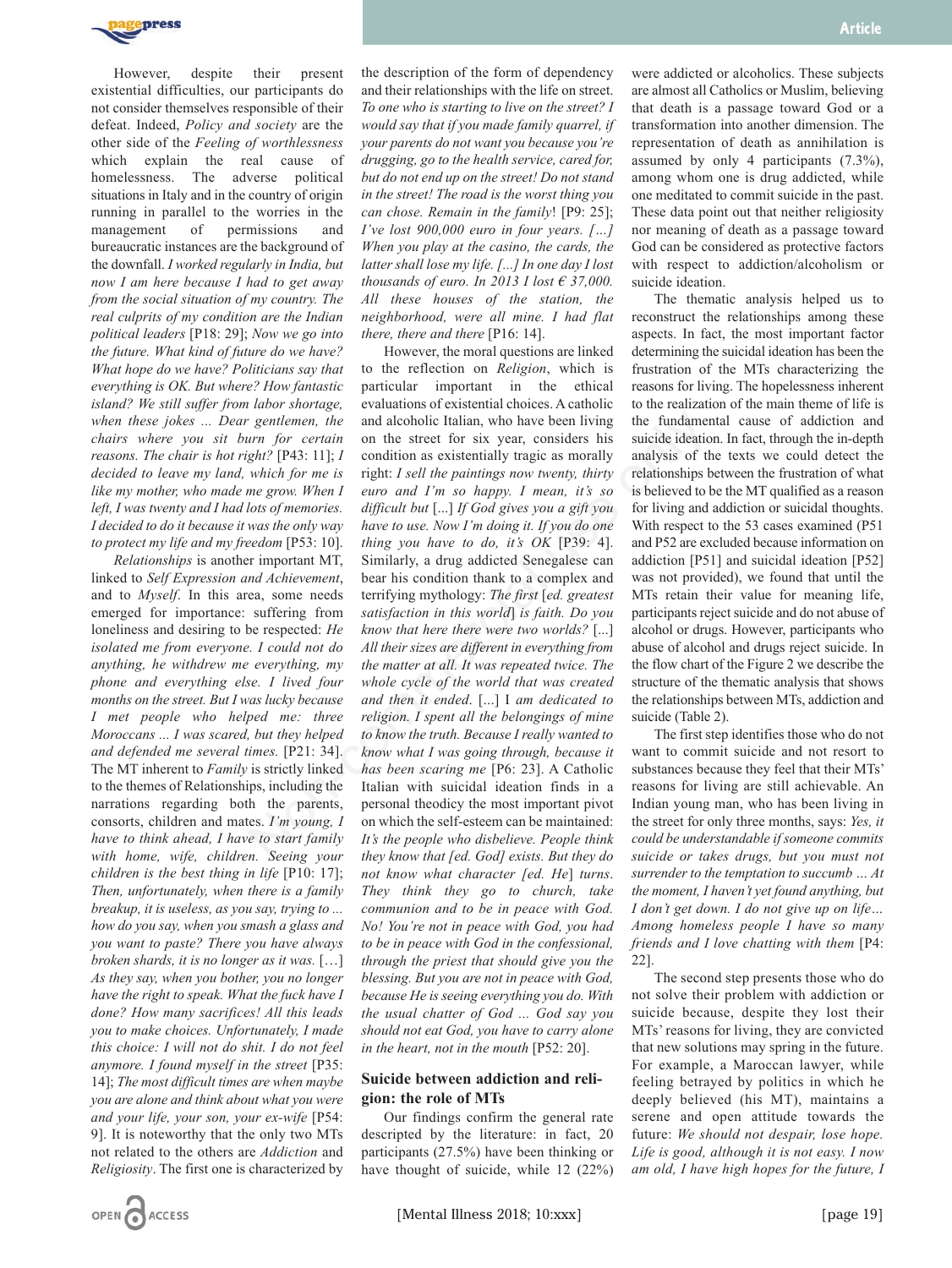

However, despite their present existential difficulties, our participants do not consider themselves responsible of their defeat. Indeed, *Policy and society* are the other side of the *Feeling of worthlessness* which explain the real cause of homelessness. The adverse political situations in Italy and in the country of origin running in parallel to the worries in the management of permissions and bureaucratic instances are the background of the downfall. *I worked regularly in India, but now I am here because I had to get away from the social situation of my country. The real culprits of my condition are the Indian political leaders* [P18: 29]; *Now we go into the future. What kind of future do we have? What hope do we have? Politicians say that everything is OK. But where? How fantastic island? We still suffer from labor shortage, when these jokes ... Dear gentlemen, the chairs where you sit burn for certain reasons. The chair is hot right?* [P43: 11]; *I decided to leave my land, which for me is like my mother, who made me grow. When I left, I was twenty and I had lots of memories. I decided to do it because it was the only way to protect my life and my freedom* [P53: 10].

*Relationships* is another important MT, linked to *Self Expression and Achievement*, and to *Myself*. In this area, some needs emerged for importance: suffering from loneliness and desiring to be respected: *He isolated me from everyone. I could not do anything, he withdrew me everything, my phone and everything else. I lived four months on the street. But I was lucky because I met people who helped me: three Moroccans ... I was scared, but they helped and defended me several times.* [P21: 34]. The MT inherent to *Family* is strictly linked to the themes of Relationships, including the narrations regarding both the parents, consorts, children and mates. *I'm young, I have to think ahead, I have to start family with home, wife, children. Seeing your children is the best thing in life* [P10: 17]; *Then, unfortunately, when there is a family breakup, it is useless, as you say, trying to ... how do you say, when you smash a glass and you want to paste? There you have always broken shards, it is no longer as it was.* […] *As they say, when you bother, you no longer have the right to speak. What the fuck have I done? How many sacrifices! All this leads you to make choices. Unfortunately, I made this choice: I will not do shit. I do not feel anymore. I found myself in the street* [P35: 14]; *The most difficult times are when maybe you are alone and think about what you were and your life, your son, your ex-wife* [P54: 9]. It is noteworthy that the only two MTs not related to the others are *Addiction* and *Religiosity*. The first one is characterized by

the description of the form of dependency and their relationships with the life on street. *To one who is starting to live on the street? I would say that if you made family quarrel, if your parents do not want you because you're drugging, go to the health service, cared for, but do not end up on the street! Do not stand in the street! The road is the worst thing you can chose. Remain in the family*! [P9: 25]; *I've lost 900,000 euro in four years. […] When you play at the casino, the cards, the latter shall lose my life. [...] In one day I lost thousands of euro. In 2013 I lost € 37,000. All these houses of the station, the neighborhood, were all mine. I had flat there, there and there* [P16: 14].

However, the moral questions are linked to the reflection on *Religion*, which is particular important in the ethical evaluations of existential choices. A catholic and alcoholic Italian, who have been living on the street for six year, considers his condition as existentially tragic as morally right: *I sell the paintings now twenty, thirty euro and I'm so happy. I mean, it's so difficult but* [...] *If God gives you a gift you have to use. Now I'm doing it. If you do one thing you have to do, it's OK* [P39: 4]. Similarly, a drug addicted Senegalese can bear his condition thank to a complex and terrifying mythology: *The first* [*ed. greatest satisfaction in this world*] *is faith. Do you know that here there were two worlds?* [...] *All their sizes are different in everything from the matter at all. It was repeated twice. The whole cycle of the world that was created and then it ended*. [...] I *am dedicated to religion. I spent all the belongings of mine to know the truth. Because I really wanted to know what I was going through, because it has been scaring me* [P6: 23]. A Catholic Italian with suicidal ideation finds in a personal theodicy the most important pivot on which the self-esteem can be maintained: *It's the people who disbelieve. People think they know that [ed. God] exists. But they do not know what character [ed. He*] *turns*. *They think they go to church, take communion and to be in peace with God. No! You're not in peace with God, you had to be in peace with God in the confessional, through the priest that should give you the blessing. But you are not in peace with God, because He is seeing everything you do. With the usual chatter of God ... God say you should not eat God, you have to carry alone in the heart, not in the mouth* [P52: 20]. c gentlemen, the and alcoholic Italian, who have been living the fundamentar of the start from its treat for six year, considers his suicide idealing the fundamentary for certain on the street for six year, considers his

### **Suicide between addiction and religion: the role of MTs**

Our findings confirm the general rate descripted by the literature: in fact, 20 participants (27.5%) have been thinking or have thought of suicide, while 12 (22%) were addicted or alcoholics. These subjects are almost all Catholics or Muslim, believing that death is a passage toward God or a transformation into another dimension. The representation of death as annihilation is assumed by only 4 participants (7.3%), among whom one is drug addicted, while one meditated to commit suicide in the past. These data point out that neither religiosity nor meaning of death as a passage toward God can be considered as protective factors with respect to addiction/alcoholism or suicide ideation.

The thematic analysis helped us to reconstruct the relationships among these aspects. In fact, the most important factor determining the suicidal ideation has been the frustration of the MTs characterizing the reasons for living. The hopelessness inherent to the realization of the main theme of life is the fundamental cause of addiction and suicide ideation. In fact, through the in-depth analysis of the texts we could detect the relationships between the frustration of what is believed to be the MT qualified as a reason for living and addiction or suicidal thoughts. With respect to the 53 cases examined (P51 and P52 are excluded because information on addiction [P51] and suicidal ideation [P52] was not provided), we found that until the MTs retain their value for meaning life, participants reject suicide and do not abuse of alcohol or drugs. However, participants who abuse of alcohol and drugs reject suicide. In the flow chart of the Figure 2 we describe the structure of the thematic analysis that shows the relationships between MTs, addiction and suicide (Table 2).

The first step identifies those who do not want to commit suicide and not resort to substances because they feel that their MTs' reasons for living are still achievable. An Indian young man, who has been living in the street for only three months, says: *Yes, it could be understandable if someone commits suicide or takes drugs, but you must not surrender to the temptation to succumb … At the moment, I haven't yet found anything, but I don't get down. I do not give up on life… Among homeless people I have so many friends and I love chatting with them* [P4: 22].

The second step presents those who do not solve their problem with addiction or suicide because, despite they lost their MTs' reasons for living, they are convicted that new solutions may spring in the future. For example, a Maroccan lawyer, while feeling betrayed by politics in which he deeply believed (his MT), maintains a serene and open attitude towards the future: *We should not despair, lose hope. Life is good, although it is not easy. I now am old, I have high hopes for the future, I*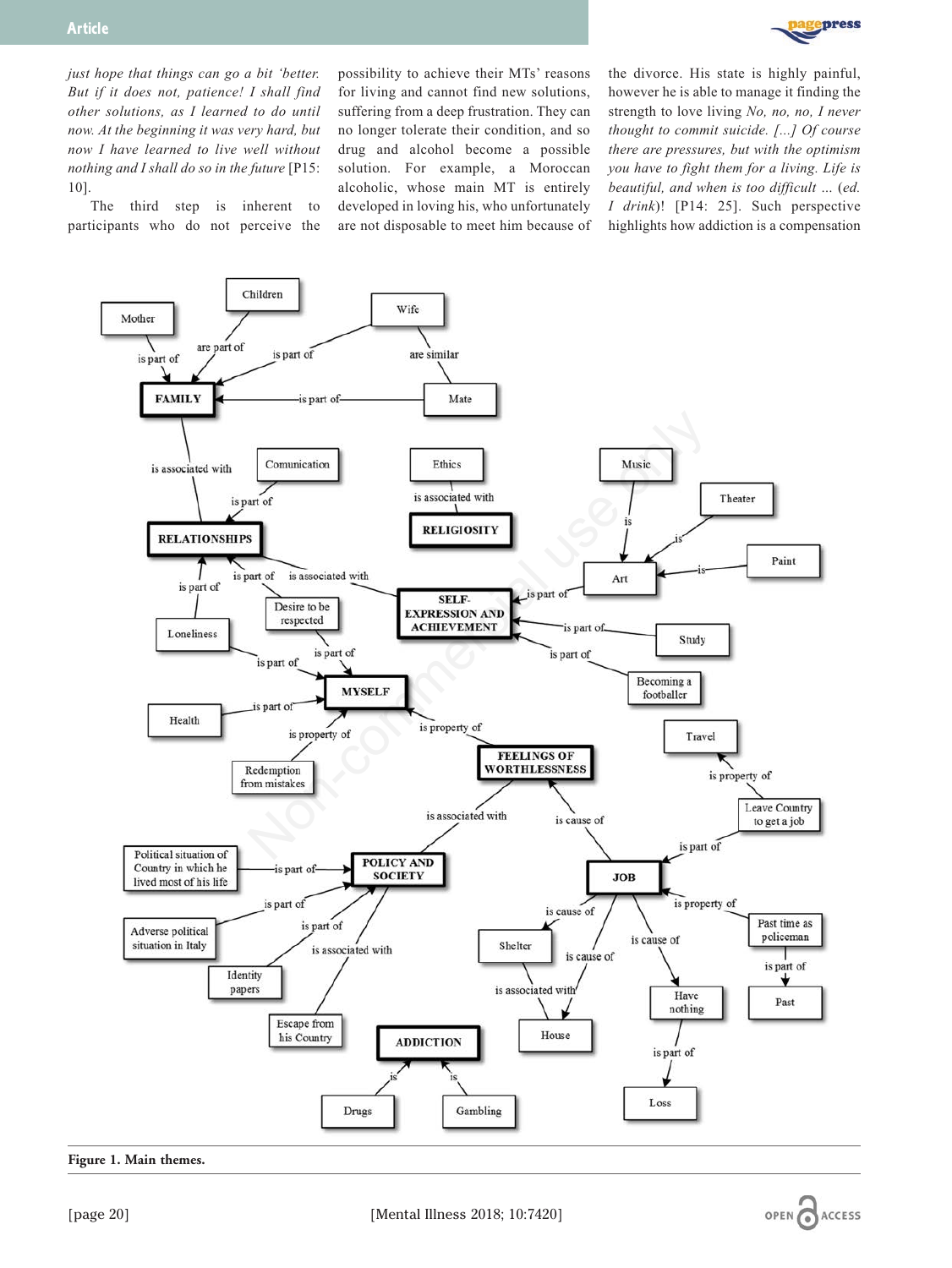

*just hope that things can go a bit 'better. But if it does not, patience! I shall find other solutions, as I learned to do until now. At the beginning it was very hard, but now I have learned to live well without nothing and I shall do so in the future* [P15: 10].

The third step is inherent to participants who do not perceive the

possibility to achieve their MTs' reasons for living and cannot find new solutions, suffering from a deep frustration. They can no longer tolerate their condition, and so drug and alcohol become a possible solution. For example, a Moroccan alcoholic, whose main MT is entirely developed in loving his, who unfortunately are not disposable to meet him because of the divorce. His state is highly painful, however he is able to manage it finding the strength to love living *No, no, no, I never thought to commit suicide. [...] Of course there are pressures, but with the optimism you have to fight them for a living. Life is beautiful, and when is too difficult …* (*ed. I drink*)! [P14: 25]. Such perspective highlights how addiction is a compensation



**Figure 1. Main themes.**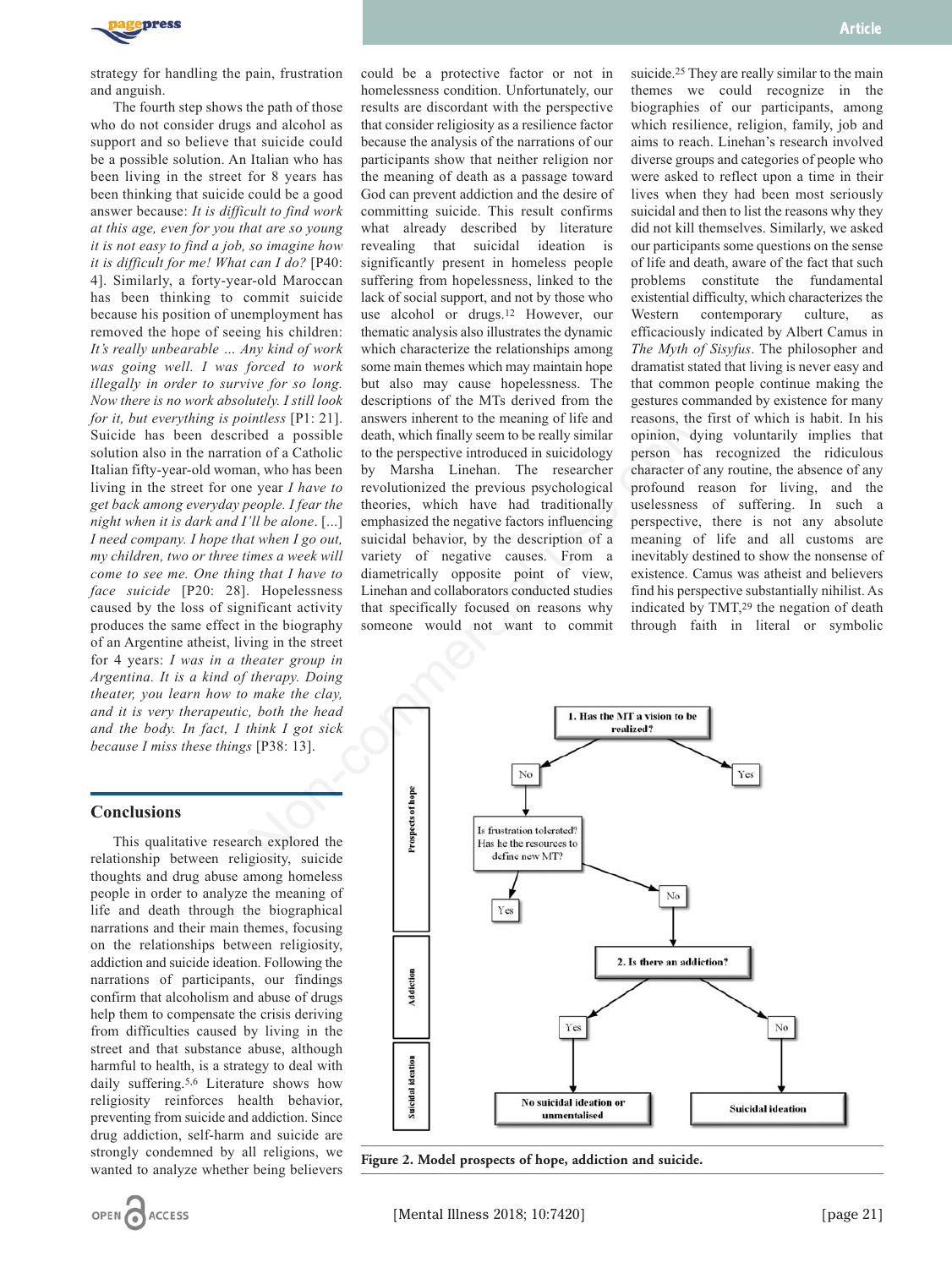

strategy for handling the pain, frustration and anguish.

The fourth step shows the path of those who do not consider drugs and alcohol as support and so believe that suicide could be a possible solution. An Italian who has been living in the street for 8 years has been thinking that suicide could be a good answer because: *It is difficult to find work at this age, even for you that are so young it is not easy to find a job, so imagine how it is difficult for me! What can I do?* [P40: 4]. Similarly, a forty-year-old Maroccan has been thinking to commit suicide because his position of unemployment has removed the hope of seeing his children: *It's really unbearable … Any kind of work was going well. I was forced to work illegally in order to survive for so long. Now there is no work absolutely. I still look for it, but everything is pointless* [P1: 21]. Suicide has been described a possible solution also in the narration of a Catholic Italian fifty-year-old woman, who has been living in the street for one year *I have to get back among everyday people. I fear the night when it is dark and I'll be alone*. [...] *I need company. I hope that when I go out, my children, two or three times a week will come to see me. One thing that I have to face suicide* [P20: 28]. Hopelessness caused by the loss of significant activity produces the same effect in the biography of an Argentine atheist, living in the street for 4 years: *I was in a theater group in Argentina. It is a kind of therapy. Doing theater, you learn how to make the clay, and it is very therapeutic, both the head and the body. In fact, I think I got sick because I miss these things* [P38: 13].

#### **Conclusions**

OPEN ACCESS

This qualitative research explored the relationship between religiosity, suicide thoughts and drug abuse among homeless people in order to analyze the meaning of life and death through the biographical narrations and their main themes, focusing on the relationships between religiosity, addiction and suicide ideation. Following the narrations of participants, our findings confirm that alcoholism and abuse of drugs help them to compensate the crisis deriving from difficulties caused by living in the street and that substance abuse, although harmful to health, is a strategy to deal with daily suffering.5,6 Literature shows how religiosity reinforces health behavior, preventing from suicide and addiction. Since drug addiction, self-harm and suicide are strongly condemned by all religions, we wanted to analyze whether being believers could be a protective factor or not in homelessness condition. Unfortunately, our results are discordant with the perspective that consider religiosity as a resilience factor because the analysis of the narrations of our participants show that neither religion nor the meaning of death as a passage toward God can prevent addiction and the desire of committing suicide. This result confirms what already described by literature revealing that suicidal ideation is significantly present in homeless people suffering from hopelessness, linked to the lack of social support, and not by those who use alcohol or drugs.12 However, our thematic analysis also illustrates the dynamic which characterize the relationships among some main themes which may maintain hope but also may cause hopelessness. The descriptions of the MTs derived from the answers inherent to the meaning of life and death, which finally seem to be really similar to the perspective introduced in suicidology by Marsha Linehan. The researcher revolutionized the previous psychological theories, which have had traditionally emphasized the negative factors influencing suicidal behavior, by the description of a variety of negative causes. From a diametrically opposite point of view, Linehan and collaborators conducted studies that specifically focused on reasons why someone would not want to commit suicide.<sup>25</sup> They are really similar to the main themes we could recognize in the biographies of our participants, among which resilience, religion, family, job and aims to reach. Linehan's research involved diverse groups and categories of people who were asked to reflect upon a time in their lives when they had been most seriously suicidal and then to list the reasons why they did not kill themselves. Similarly, we asked our participants some questions on the sense of life and death, aware of the fact that such problems constitute the fundamental existential difficulty, which characterizes the Western contemporary culture, as efficaciously indicated by Albert Camus in *The Myth of Sisyfus*. The philosopher and dramatist stated that living is never easy and that common people continue making the gestures commanded by existence for many reasons, the first of which is habit. In his opinion, dying voluntarily implies that person has recognized the ridiculous character of any routine, the absence of any profound reason for living, and the uselessness of suffering. In such a perspective, there is not any absolute meaning of life and all customs are inevitably destined to show the nonsense of existence. Camus was atheist and believers find his perspective substantially nihilist. As indicated by TMT,<sup>29</sup> the negation of death through faith in literal or symbolic



**Figure 2. Model prospects of hope, addiction and suicide.**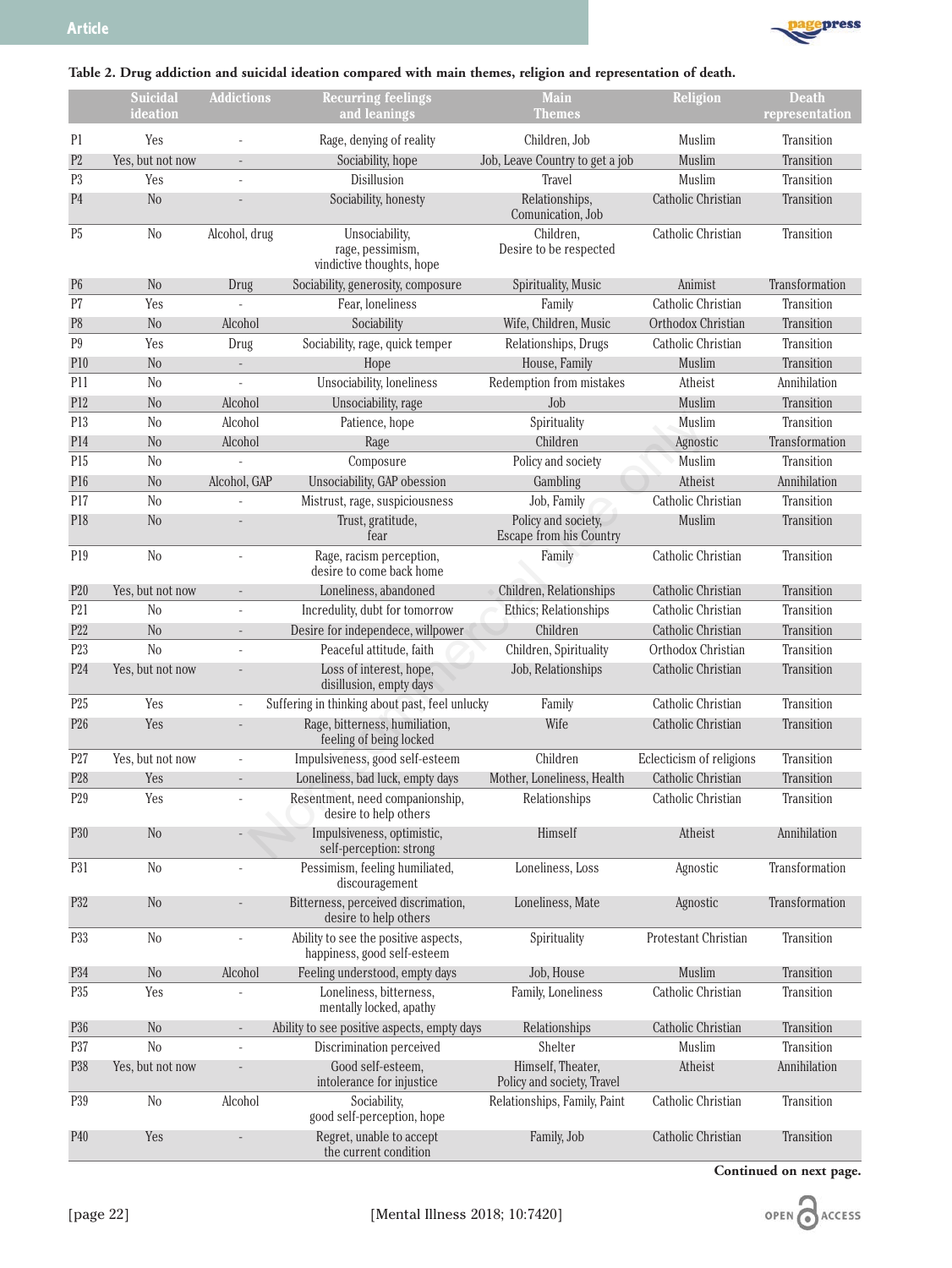

# **Table 2. Drug addiction and suicidal ideation compared with main themes, religion and representation of death.**

|                 | ravit 2. Drug               |                          | auurchon and suicidal fucation compared with main themes, rengion and representation of death. |                                                 |                          |                                |
|-----------------|-----------------------------|--------------------------|------------------------------------------------------------------------------------------------|-------------------------------------------------|--------------------------|--------------------------------|
|                 | <b>Suicidal</b><br>ideation | <b>Addictions</b>        | <b>Recurring feelings</b><br>and leanings                                                      | <b>Main</b><br><b>Themes</b>                    | Religion                 | <b>Death</b><br>representation |
| P1              | Yes                         |                          | Rage, denying of reality                                                                       | Children, Job                                   | Muslim                   | Transition                     |
| P <sub>2</sub>  | Yes, but not now            | $\overline{\phantom{a}}$ | Sociability, hope                                                                              | Job, Leave Country to get a job                 | <b>Muslim</b>            | Transition                     |
| P <sub>3</sub>  | Yes                         |                          | Disillusion                                                                                    | Travel                                          | Muslim                   | Transition                     |
| P <sub>4</sub>  | N <sub>0</sub>              |                          | Sociability, honesty                                                                           | Relationships,<br>Comunication, Job             | Catholic Christian       | Transition                     |
| P <sub>5</sub>  | No                          | Alcohol, drug            | Unsociability,<br>rage, pessimism,<br>vindictive thoughts, hope                                | Children.<br>Desire to be respected             | Catholic Christian       | Transition                     |
| P <sub>6</sub>  | N <sub>o</sub>              | Drug                     | Sociability, generosity, composure                                                             | Spirituality, Music                             | Animist                  | Transformation                 |
| P <sub>7</sub>  | Yes                         |                          | Fear, loneliness                                                                               | Family                                          | Catholic Christian       | Transition                     |
| P <sub>8</sub>  | N <sub>o</sub>              | Alcohol                  | Sociability                                                                                    | Wife, Children, Music                           | Orthodox Christian       | Transition                     |
| P <sub>9</sub>  | Yes                         | Drug                     | Sociability, rage, quick temper                                                                | Relationships, Drugs                            | Catholic Christian       | Transition                     |
| P10             | N <sub>0</sub>              | $\overline{a}$           | Hope                                                                                           | House, Family                                   | Muslim                   | Transition                     |
| P11             | N <sub>o</sub>              |                          | Unsociability, loneliness                                                                      | Redemption from mistakes                        | Atheist                  | Annihilation                   |
| P12             | N <sub>o</sub>              | Alcohol                  | Unsociability, rage                                                                            | Job                                             | Muslim                   | Transition                     |
| P13             | N <sub>0</sub>              | Alcohol                  | Patience, hope                                                                                 | Spirituality                                    | Muslim                   | Transition                     |
| P14             | N <sub>o</sub>              | Alcohol                  | Rage                                                                                           | Children                                        | Agnostic                 | Transformation                 |
| P15             | No                          |                          | Composure                                                                                      | Policy and society                              | Muslim                   | Transition                     |
| P16             | N <sub>0</sub>              | Alcohol, GAP             | Unsociability, GAP obession                                                                    | Gambling                                        | Atheist                  | Annihilation                   |
| P17             | N <sub>0</sub>              |                          | Mistrust, rage, suspiciousness                                                                 | Job, Family                                     | Catholic Christian       | Transition                     |
| P18             | N <sub>o</sub>              |                          | Trust, gratitude,<br>fear                                                                      | Policy and society,<br>Escape from his Country  | Muslim                   | Transition                     |
| P19             | N <sub>0</sub>              |                          | Rage, racism perception,<br>desire to come back home                                           | Family                                          | Catholic Christian       | Transition                     |
| P <sub>20</sub> | Yes, but not now            | $\overline{\phantom{a}}$ | Loneliness, abandoned                                                                          | Children, Relationships                         | Catholic Christian       | Transition                     |
| P <sub>21</sub> | No                          | ä,                       | Incredulity, dubt for tomorrow                                                                 | Ethics; Relationships                           | Catholic Christian       | Transition                     |
| P <sub>22</sub> | N <sub>o</sub>              | $\overline{\phantom{a}}$ | Desire for independece, willpower                                                              | Children                                        | Catholic Christian       | Transition                     |
| P <sub>23</sub> | N <sub>0</sub>              |                          | Peaceful attitude, faith                                                                       | Children, Spirituality                          | Orthodox Christian       | Transition                     |
| P <sub>24</sub> | Yes, but not now            |                          | Loss of interest, hope,<br>disillusion, empty days                                             | Job, Relationships                              | Catholic Christian       | Transition                     |
| P <sub>25</sub> | Yes                         | ä,                       | Suffering in thinking about past, feel unlucky                                                 | Family                                          | Catholic Christian       | Transition                     |
| P <sub>26</sub> | Yes                         |                          | Rage, bitterness, humiliation,<br>feeling of being locked                                      | Wife                                            | Catholic Christian       | Transition                     |
| P27             | Yes, but not now            | L,                       | Impulsiveness, good self-esteem                                                                | Children                                        | Eclecticism of religions | Transition                     |
| P <sub>28</sub> | Yes                         |                          | Loneliness, bad luck, empty days                                                               | Mother, Loneliness, Health                      | Catholic Christian       | Transition                     |
| P <sub>29</sub> | Yes                         |                          | Resentment, need companionship,<br>desire to help others                                       | Relationships                                   | Catholic Christian       | Transition                     |
| P <sub>30</sub> | N <sub>0</sub>              |                          | Impulsiveness, optimistic,<br>self-perception: strong                                          | Himself                                         | Atheist                  | Annihilation                   |
| P <sub>31</sub> | N <sub>0</sub>              |                          | Pessimism, feeling humiliated,<br>discouragement                                               | Loneliness, Loss                                | Agnostic                 | Transformation                 |
| P32             | N <sub>o</sub>              |                          | Bitterness, perceived discrimation,<br>desire to help others                                   | Loneliness, Mate                                | Agnostic                 | Transformation                 |
| P33             | N <sub>0</sub>              |                          | Ability to see the positive aspects,<br>happiness, good self-esteem                            | Spirituality                                    | Protestant Christian     | Transition                     |
| P <sub>34</sub> | N <sub>0</sub>              | Alcohol                  | Feeling understood, empty days                                                                 | Job, House                                      | Muslim                   | Transition                     |
| P <sub>35</sub> | Yes                         |                          | Loneliness, bitterness,<br>mentally locked, apathy                                             | Family, Loneliness                              | Catholic Christian       | Transition                     |
| P <sub>36</sub> | N <sub>o</sub>              | $\overline{\phantom{m}}$ | Ability to see positive aspects, empty days                                                    | Relationships                                   | Catholic Christian       | Transition                     |
| P <sub>37</sub> | N <sub>0</sub>              | ÷,                       | Discrimination perceived                                                                       | Shelter                                         | Muslim                   | Transition                     |
| P <sub>38</sub> | Yes, but not now            |                          | Good self-esteem,<br>intolerance for injustice                                                 | Himself, Theater,<br>Policy and society, Travel | Atheist                  | Annihilation                   |
| P <sub>39</sub> | No                          | Alcohol                  | Sociability,<br>good self-perception, hope                                                     | Relationships, Family, Paint                    | Catholic Christian       | Transition                     |
| P40             | Yes                         |                          | Regret, unable to accept<br>the current condition                                              | Family, Job                                     | Catholic Christian       | Transition                     |

**Continued on next page.**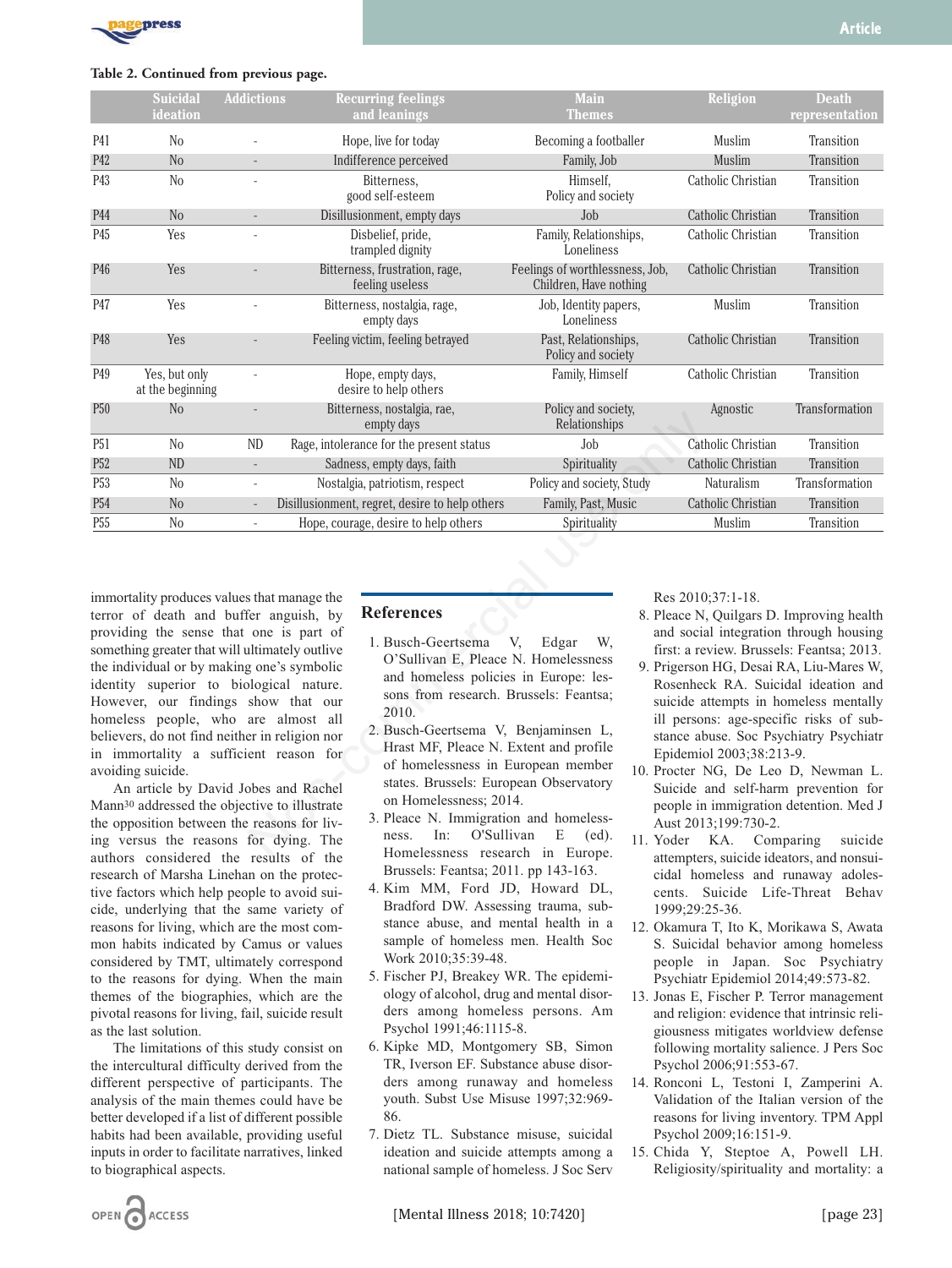

|                 | <b>Suicidal</b><br>ideation                                                                                                                                                                                                                                                                                                                                                                                 | <b>Addictions</b> | <b>Recurring feelings</b><br>and leanings                                                                                                                                                                                                                    | <b>Main</b><br><b>Themes</b>                                                    | Religion                                                                                                                                                                                                                                                                                                                                                              | <b>Death</b><br>representation |
|-----------------|-------------------------------------------------------------------------------------------------------------------------------------------------------------------------------------------------------------------------------------------------------------------------------------------------------------------------------------------------------------------------------------------------------------|-------------------|--------------------------------------------------------------------------------------------------------------------------------------------------------------------------------------------------------------------------------------------------------------|---------------------------------------------------------------------------------|-----------------------------------------------------------------------------------------------------------------------------------------------------------------------------------------------------------------------------------------------------------------------------------------------------------------------------------------------------------------------|--------------------------------|
| P41             | N <sub>o</sub>                                                                                                                                                                                                                                                                                                                                                                                              |                   | Hope, live for today                                                                                                                                                                                                                                         | Becoming a footballer<br>Muslim                                                 |                                                                                                                                                                                                                                                                                                                                                                       | Transition                     |
| P42             | N <sub>o</sub>                                                                                                                                                                                                                                                                                                                                                                                              |                   | Indifference perceived                                                                                                                                                                                                                                       | Family, Job                                                                     | Muslim                                                                                                                                                                                                                                                                                                                                                                | Transition                     |
| P43             | N <sub>o</sub>                                                                                                                                                                                                                                                                                                                                                                                              |                   | Bitterness,<br>good self-esteem                                                                                                                                                                                                                              | Himself.<br>Policy and society                                                  | Catholic Christian                                                                                                                                                                                                                                                                                                                                                    | Transition                     |
| P44             | N <sub>o</sub>                                                                                                                                                                                                                                                                                                                                                                                              |                   | Disillusionment, empty days                                                                                                                                                                                                                                  | Job                                                                             | Catholic Christian                                                                                                                                                                                                                                                                                                                                                    | Transition                     |
| P45             | Yes                                                                                                                                                                                                                                                                                                                                                                                                         |                   | Disbelief, pride,<br>trampled dignity                                                                                                                                                                                                                        | Family, Relationships,<br>Loneliness                                            | Catholic Christian                                                                                                                                                                                                                                                                                                                                                    | Transition                     |
| P46             | Yes                                                                                                                                                                                                                                                                                                                                                                                                         |                   | Bitterness, frustration, rage,<br>feeling useless                                                                                                                                                                                                            | Feelings of worthlessness, Job,<br>Catholic Christian<br>Children, Have nothing |                                                                                                                                                                                                                                                                                                                                                                       | Transition                     |
| P47             | Yes                                                                                                                                                                                                                                                                                                                                                                                                         |                   | Bitterness, nostalgia, rage,<br>empty days                                                                                                                                                                                                                   | Muslim<br>Job, Identity papers,<br>Loneliness                                   |                                                                                                                                                                                                                                                                                                                                                                       | Transition                     |
| P48             | Yes                                                                                                                                                                                                                                                                                                                                                                                                         |                   | Feeling victim, feeling betrayed                                                                                                                                                                                                                             | Past, Relationships,<br>Catholic Christian<br>Policy and society                |                                                                                                                                                                                                                                                                                                                                                                       | Transition                     |
| P49             | Yes, but only<br>at the beginning                                                                                                                                                                                                                                                                                                                                                                           |                   | Hope, empty days,<br>desire to help others                                                                                                                                                                                                                   | Family, Himself                                                                 | Catholic Christian                                                                                                                                                                                                                                                                                                                                                    | Transition                     |
| P <sub>50</sub> | N <sub>o</sub>                                                                                                                                                                                                                                                                                                                                                                                              |                   | Bitterness, nostalgia, rae,<br>empty days                                                                                                                                                                                                                    | Policy and society,<br>Relationships                                            | Agnostic                                                                                                                                                                                                                                                                                                                                                              | Transformation                 |
| P <sub>51</sub> | N <sub>o</sub>                                                                                                                                                                                                                                                                                                                                                                                              | <b>ND</b>         | Rage, intolerance for the present status                                                                                                                                                                                                                     | Job                                                                             | Catholic Christian                                                                                                                                                                                                                                                                                                                                                    | Transition                     |
| P <sub>52</sub> | <b>ND</b>                                                                                                                                                                                                                                                                                                                                                                                                   | L.                | Sadness, empty days, faith                                                                                                                                                                                                                                   | Spirituality                                                                    | Catholic Christian                                                                                                                                                                                                                                                                                                                                                    | Transition                     |
| P53             | N <sub>o</sub>                                                                                                                                                                                                                                                                                                                                                                                              |                   | Nostalgia, patriotism, respect                                                                                                                                                                                                                               | Policy and society, Study                                                       | Naturalism                                                                                                                                                                                                                                                                                                                                                            | Transformation                 |
| P <sub>54</sub> | N <sub>o</sub>                                                                                                                                                                                                                                                                                                                                                                                              | $\overline{a}$    | Disillusionment, regret, desire to help others                                                                                                                                                                                                               | Family, Past, Music                                                             | Catholic Christian                                                                                                                                                                                                                                                                                                                                                    | Transition                     |
| P <sub>55</sub> | No                                                                                                                                                                                                                                                                                                                                                                                                          |                   | Hope, courage, desire to help others                                                                                                                                                                                                                         | Spirituality                                                                    | Muslim                                                                                                                                                                                                                                                                                                                                                                | Transition                     |
|                 | immortality produces values that manage the<br>terror of death and buffer anguish, by<br>providing the sense that one is part of<br>something greater that will ultimately outlive<br>the individual or by making one's symbolic<br>identity superior to biological nature.<br>However, our findings show that our<br>homeless people, who are almost all<br>believers, do not find neither in religion nor |                   | <b>References</b><br>1. Busch-Geertsema<br>O'Sullivan E, Pleace N. Homelessness<br>and homeless policies in Europe: les-<br>sons from research. Brussels: Feantsa;<br>2010.<br>2. Busch-Geertsema V, Benjaminsen L,                                          | V,<br>Edgar<br>W,                                                               | Res 2010;37:1-18.<br>8. Pleace N, Quilgars D. Improving health<br>and social integration through housing<br>first: a review. Brussels: Feantsa; 2013.<br>9. Prigerson HG, Desai RA, Liu-Mares W,<br>Rosenheck RA. Suicidal ideation and<br>suicide attempts in homeless mentally<br>ill persons: age-specific risks of sub-<br>stance abuse. Soc Psychiatry Psychiatr |                                |
|                 | in immortality a sufficient reason for<br>avoiding suicide.<br>An article by David Jobes and Rachel<br>Mann <sup>30</sup> addressed the objective to illustrate<br>the opposition between the reasons for liv-<br>ing versus the reasons for dying. The<br>authors considered the results of the                                                                                                            |                   | Hrast MF, Pleace N. Extent and profile<br>of homelessness in European member<br>states. Brussels: European Observatory<br>on Homelessness; 2014.<br>3. Pleace N. Immigration and homeless-<br>O'Sullivan<br>ness.<br>In:<br>Homelessness research in Europe. | E<br>(ed).                                                                      | Epidemiol 2003;38:213-9.<br>10. Procter NG, De Leo D, Newman L.<br>Suicide and self-harm prevention for<br>people in immigration detention. Med J<br>Aust 2013;199:730-2.<br>11. Yoder KA. Comparing<br>attempters suicide ideators and nonsui-                                                                                                                       | suicide                        |

An article by David Jobes and Rachel Mann30 addressed the objective to illustrate the opposition between the reasons for living versus the reasons for dying. The authors considered the results of the research of Marsha Linehan on the protective factors which help people to avoid suicide, underlying that the same variety of reasons for living, which are the most common habits indicated by Camus or values considered by TMT, ultimately correspond to the reasons for dying. When the main themes of the biographies, which are the pivotal reasons for living, fail, suicide result as the last solution.

The limitations of this study consist on the intercultural difficulty derived from the different perspective of participants. The analysis of the main themes could have be better developed if a list of different possible habits had been available, providing useful inputs in order to facilitate narratives, linked to biographical aspects.

# **References**

- 1. Busch-Geertsema V, Edgar W, O'Sullivan E, Pleace N. Homelessness and homeless policies in Europe: lessons from research. Brussels: Feantsa; 2010.
- 2. Busch-Geertsema V, Benjaminsen L, Hrast MF, Pleace N. Extent and profile of homelessness in European member states. Brussels: European Observatory on Homelessness; 2014.
- 3. Pleace N. Immigration and homelessness. In: O'Sullivan E (ed). Homelessness research in Europe. Brussels: Feantsa; 2011. pp 143-163.
- 4. Kim MM, Ford JD, Howard DL, Bradford DW. Assessing trauma, substance abuse, and mental health in a sample of homeless men. Health Soc Work 2010;35:39-48.
- 5. Fischer PJ, Breakey WR. The epidemiology of alcohol, drug and mental disorders among homeless persons. Am Psychol 1991;46:1115-8.
- 6. Kipke MD, Montgomery SB, Simon TR, Iverson EF. Substance abuse disorders among runaway and homeless youth. Subst Use Misuse 1997;32:969- 86.
- 7. Dietz TL. Substance misuse, suicidal ideation and suicide attempts among a national sample of homeless. J Soc Serv

- 8. Pleace N, Quilgars D. Improving health and social integration through housing first: a review. Brussels: Feantsa; 2013.
- 9. Prigerson HG, Desai RA, Liu-Mares W, Rosenheck RA. Suicidal ideation and suicide attempts in homeless mentally ill persons: age-specific risks of substance abuse. Soc Psychiatry Psychiatr Epidemiol 2003;38:213-9.
- 10. Procter NG, De Leo D, Newman L. Suicide and self-harm prevention for people in immigration detention. Med J Aust 2013;199:730-2.
- 11. Yoder KA. Comparing suicide attempters, suicide ideators, and nonsuicidal homeless and runaway adolescents. Suicide Life-Threat Behav 1999;29:25-36.
- 12. Okamura T, Ito K, Morikawa S, Awata S. Suicidal behavior among homeless people in Japan. Soc Psychiatry Psychiatr Epidemiol 2014;49:573-82.
- 13. Jonas E, Fischer P. Terror management and religion: evidence that intrinsic religiousness mitigates worldview defense following mortality salience. J Pers Soc Psychol 2006;91:553-67.
- 14. Ronconi L, Testoni I, Zamperini A. Validation of the Italian version of the reasons for living inventory. TPM Appl Psychol 2009;16:151-9.
- 15. Chida Y, Steptoe A, Powell LH. Religiosity/spirituality and mortality: a